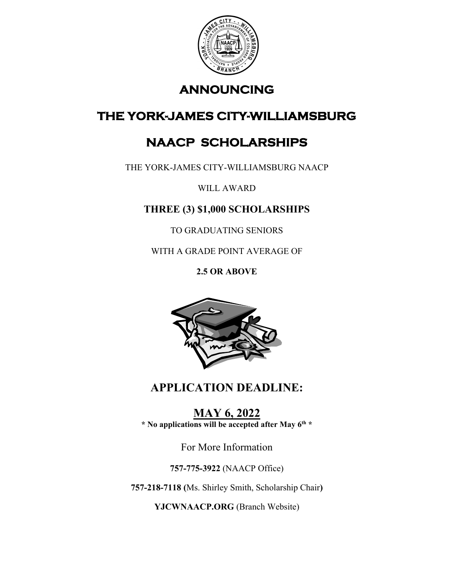

## **ANNOUNCING**

# **THE YORK-JAMES CITY-WILLIAMSBURG**

# **NAACP SCHOLARSHIPS**

THE YORK-JAMES CITY-WILLIAMSBURG NAACP

WILL AWARD

### **THREE (3) \$1,000 SCHOLARSHIPS**

TO GRADUATING SENIORS

WITH A GRADE POINT AVERAGE OF

**2.5 OR ABOVE** 



# **APPLICATION DEADLINE:**

**MAY 6, 2022 \* No applications will be accepted after May 6th \*** 

For More Information

**757-775-3922** (NAACP Office)

**757-218-7118 (**Ms. Shirley Smith, Scholarship Chair**)** 

**YJCWNAACP.ORG** (Branch Website)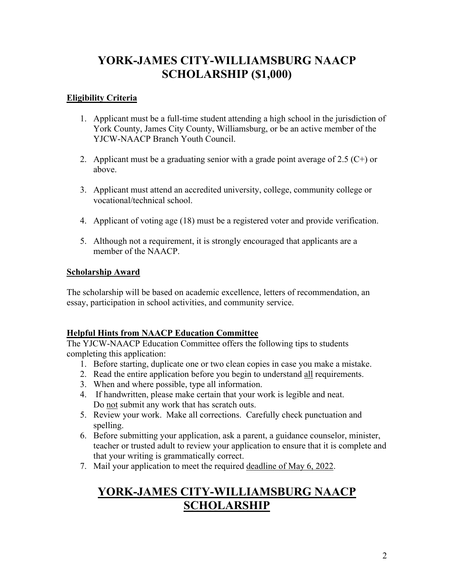### **YORK-JAMES CITY-WILLIAMSBURG NAACP SCHOLARSHIP (\$1,000)**

### **Eligibility Criteria**

- 1. Applicant must be a full-time student attending a high school in the jurisdiction of York County, James City County, Williamsburg, or be an active member of the YJCW-NAACP Branch Youth Council.
- 2. Applicant must be a graduating senior with a grade point average of 2.5  $(C+)$  or above.
- 3. Applicant must attend an accredited university, college, community college or vocational/technical school.
- 4. Applicant of voting age (18) must be a registered voter and provide verification.
- 5. Although not a requirement, it is strongly encouraged that applicants are a member of the NAACP.

### **Scholarship Award**

The scholarship will be based on academic excellence, letters of recommendation, an essay, participation in school activities, and community service.

### **Helpful Hints from NAACP Education Committee**

The YJCW-NAACP Education Committee offers the following tips to students completing this application:

- 1. Before starting, duplicate one or two clean copies in case you make a mistake.
- 2. Read the entire application before you begin to understand all requirements.
- 3. When and where possible, type all information.
- 4. If handwritten, please make certain that your work is legible and neat. Do not submit any work that has scratch outs.
- 5. Review your work. Make all corrections. Carefully check punctuation and spelling.
- 6. Before submitting your application, ask a parent, a guidance counselor, minister, teacher or trusted adult to review your application to ensure that it is complete and that your writing is grammatically correct.
- 7. Mail your application to meet the required deadline of May 6, 2022.

### **YORK-JAMES CITY-WILLIAMSBURG NAACP SCHOLARSHIP**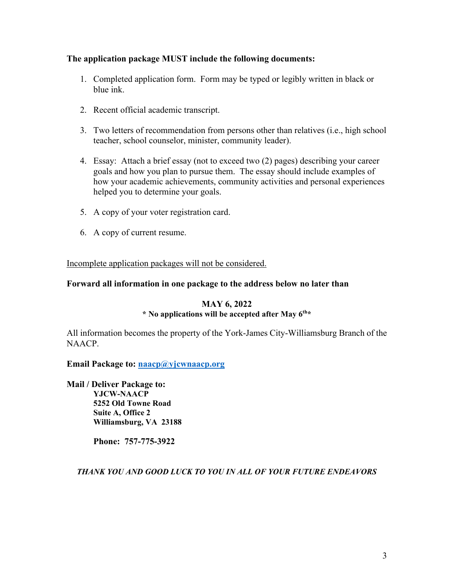#### **The application package MUST include the following documents:**

- 1. Completed application form. Form may be typed or legibly written in black or blue ink.
- 2. Recent official academic transcript.
- 3. Two letters of recommendation from persons other than relatives (i.e., high school teacher, school counselor, minister, community leader).
- 4. Essay: Attach a brief essay (not to exceed two (2) pages) describing your career goals and how you plan to pursue them. The essay should include examples of how your academic achievements, community activities and personal experiences helped you to determine your goals.
- 5. A copy of your voter registration card.
- 6. A copy of current resume.

Incomplete application packages will not be considered.

#### **Forward all information in one package to the address below no later than**

#### **MAY 6, 2022**

#### **\* No applications will be accepted after May 6th\***

All information becomes the property of the York-James City-Williamsburg Branch of the NAACP.

**Email Package to: [naacp@yjcwnaacp.org](mailto:naacp@yjcwnaacp.org)**

**Mail / Deliver Package to: YJCW-NAACP 5252 Old Towne Road Suite A, Office 2 Williamsburg, VA 23188** 

**Phone: 757-775-3922** 

*THANK YOU AND GOOD LUCK TO YOU IN ALL OF YOUR FUTURE ENDEAVORS*